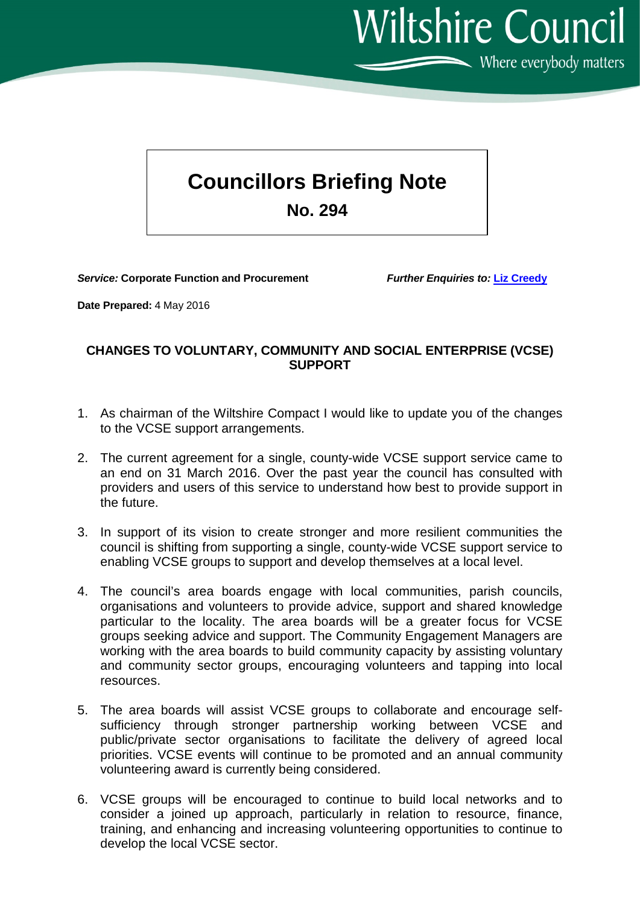**Wiltshire Council** Where everybody matters

## **Councillors Briefing Note**

**No. 294**

*Service:* **Corporate Function and Procurement** *Further Enquiries to:* **[Liz Creedy](mailto:liz.creedy@wiltshire.gov.uk)**

**Date Prepared:** 4 May 2016

## **CHANGES TO VOLUNTARY, COMMUNITY AND SOCIAL ENTERPRISE (VCSE) SUPPORT**

- 1. As chairman of the Wiltshire Compact I would like to update you of the changes to the VCSE support arrangements.
- 2. The current agreement for a single, county-wide VCSE support service came to an end on 31 March 2016. Over the past year the council has consulted with providers and users of this service to understand how best to provide support in the future.
- 3. In support of its vision to create stronger and more resilient communities the council is shifting from supporting a single, county-wide VCSE support service to enabling VCSE groups to support and develop themselves at a local level.
- 4. The council's area boards engage with local communities, parish councils, organisations and volunteers to provide advice, support and shared knowledge particular to the locality. The area boards will be a greater focus for VCSE groups seeking advice and support. The Community Engagement Managers are working with the area boards to build community capacity by assisting voluntary and community sector groups, encouraging volunteers and tapping into local resources.
- 5. The area boards will assist VCSE groups to collaborate and encourage selfsufficiency through stronger partnership working between VCSE and public/private sector organisations to facilitate the delivery of agreed local priorities. VCSE events will continue to be promoted and an annual community volunteering award is currently being considered.
- 6. VCSE groups will be encouraged to continue to build local networks and to consider a joined up approach, particularly in relation to resource, finance, training, and enhancing and increasing volunteering opportunities to continue to develop the local VCSE sector.